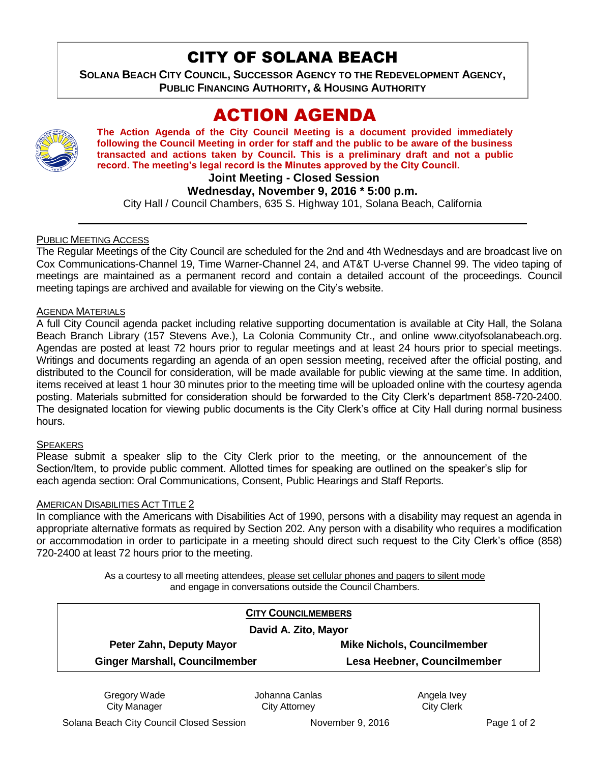# CITY OF SOLANA BEACH

**SOLANA BEACH CITY COUNCIL, SUCCESSOR AGENCY TO THE REDEVELOPMENT AGENCY, PUBLIC FINANCING AUTHORITY, & HOUSING AUTHORITY** 

# ACTION AGENDA



**The Action Agenda of the City Council Meeting is a document provided immediately following the Council Meeting in order for staff and the public to be aware of the business transacted and actions taken by Council. This is a preliminary draft and not a public record. The meeting's legal record is the Minutes approved by the City Council.**

**Joint Meeting - Closed Session**

## **Wednesday, November 9, 2016 \* 5:00 p.m.**

City Hall / Council Chambers, 635 S. Highway 101, Solana Beach, California

## PUBLIC MEETING ACCESS

The Regular Meetings of the City Council are scheduled for the 2nd and 4th Wednesdays and are broadcast live on Cox Communications-Channel 19, Time Warner-Channel 24, and AT&T U-verse Channel 99. The video taping of meetings are maintained as a permanent record and contain a detailed account of the proceedings. Council meeting tapings are archived and available for viewing on the City's website.

### AGENDA MATERIALS

A full City Council agenda packet including relative supporting documentation is available at City Hall, the Solana Beach Branch Library (157 Stevens Ave.), La Colonia Community Ctr., and online www.cityofsolanabeach.org. Agendas are posted at least 72 hours prior to regular meetings and at least 24 hours prior to special meetings. Writings and documents regarding an agenda of an open session meeting, received after the official posting, and distributed to the Council for consideration, will be made available for public viewing at the same time. In addition, items received at least 1 hour 30 minutes prior to the meeting time will be uploaded online with the courtesy agenda posting. Materials submitted for consideration should be forwarded to the City Clerk's department 858-720-2400. The designated location for viewing public documents is the City Clerk's office at City Hall during normal business hours.

### **SPEAKERS**

Please submit a speaker slip to the City Clerk prior to the meeting, or the announcement of the Section/Item, to provide public comment. Allotted times for speaking are outlined on the speaker's slip for each agenda section: Oral Communications, Consent, Public Hearings and Staff Reports.

### AMERICAN DISABILITIES ACT TITLE 2

In compliance with the Americans with Disabilities Act of 1990, persons with a disability may request an agenda in appropriate alternative formats as required by Section 202. Any person with a disability who requires a modification or accommodation in order to participate in a meeting should direct such request to the City Clerk's office (858) 720-2400 at least 72 hours prior to the meeting.

> As a courtesy to all meeting attendees, please set cellular phones and pagers to silent mode and engage in conversations outside the Council Chambers.

| <b>CITY COUNCILMEMBERS</b><br>David A. Zito, Mayor |                             |
|----------------------------------------------------|-----------------------------|
|                                                    |                             |
| <b>Ginger Marshall, Councilmember</b>              | Lesa Heebner, Councilmember |

Gregory Wade City Manager

Johanna Canlas City Attorney

Angela Ivey City Clerk

Solana Beach City Council Closed Session November 9, 2016 Page 1 of 2